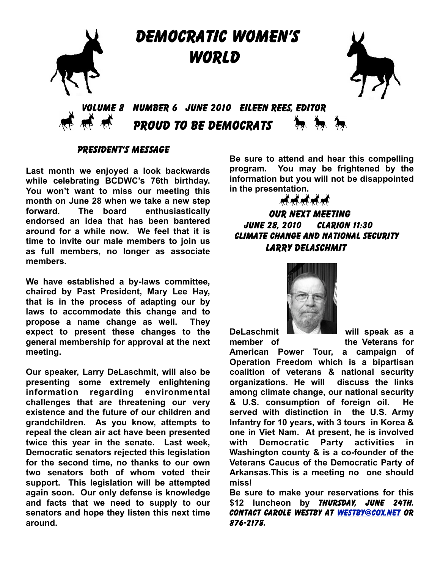

## PRESIDENT'S MESSAGE

**Last month we enjoyed a look backwards while celebrating BCDWC's 76th birthday. You won't want to miss our meeting this month on June 28 when we take a new step forward. The board enthusiastically endorsed an idea that has been bantered around for a while now. We feel that it is time to invite our male members to join us as full members, no longer as associate members.**

**We have established a by-laws committee, chaired by Past President, Mary Lee Hay, that is in the process of adapting our by laws to accommodate this change and to propose a name change as well. They expect to present these changes to the general membership for approval at the next meeting.**

**Our speaker, Larry DeLaschmit, will also be presenting some extremely enlightening information regarding environmental challenges that are threatening our very existence and the future of our children and grandchildren. As you know, attempts to repeal the clean air act have been presented twice this year in the senate. Last week, Democratic senators rejected this legislation for the second time, no thanks to our own two senators both of whom voted their support. This legislation will be attempted again soon. Our only defense is knowledge and facts that we need to supply to our senators and hope they listen this next time around.**

**Be sure to attend and hear this compelling program. You may be frightened by the information but you will not be disappointed in the presentation.** 



OUR NEXT MEETING june 28, 2010 Clarion 11:30 climate change and national security LARRY DELASCHMIT



**DeLaschmit will speak as a member** of the Veterans for

**American Power Tour, a campaign of Operation Freedom which is a bipartisan coalition of veterans & national security organizations. He will discuss the links among climate change, our national security & U.S. consumption of foreign oil. He served with distinction in the U.S. Army Infantry for 10 years, with 3 tours in Korea & one in Viet Nam. At present, he is involved with Democratic Party activities in Washington county & is a co-founder of the Veterans Caucus of the Democratic Party of Arkansas.This is a meeting no one should miss!** 

**Be sure to make your reservations for this**  \$12 **luncheon** by **THURSDAY, JUNE 24TH.** Contact Carole Westby at [westby@cox.net](mailto:westby@cox.net) or 876-2178.